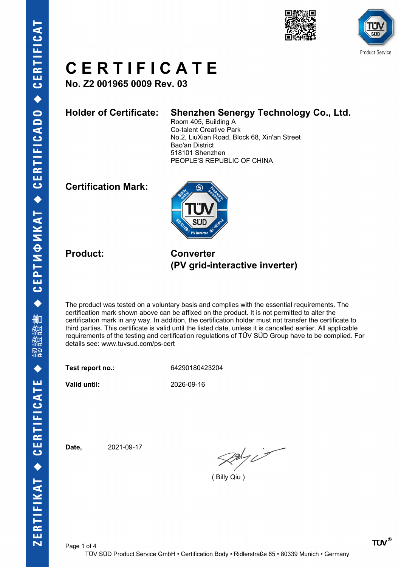



**No. Z2 001965 0009 Rev. 03**

### **Holder of Certificate: Shenzhen Senergy Technology Co., Ltd.**

Room 405, Building A Co-talent Creative Park No.2, LiuXian Road, Block 68, Xin'an Street Bao'an District 518101 Shenzhen PEOPLE'S REPUBLIC OF CHINA

### **Certification Mark:**



**Product: Converter (PV grid-interactive inverter)**

The product was tested on a voluntary basis and complies with the essential requirements. The certification mark shown above can be affixed on the product. It is not permitted to alter the certification mark in any way. In addition, the certification holder must not transfer the certificate to third parties. This certificate is valid until the listed date, unless it is cancelled earlier. All applicable requirements of the testing and certification regulations of TÜV SÜD Group have to be complied. For details see: www.tuvsud.com/ps-cert

**Test report no.:** 64290180423204

**Valid until:** 2026-09-16

**Date,** 2021-09-17

 $2x/y$ 

( Billy Qiu )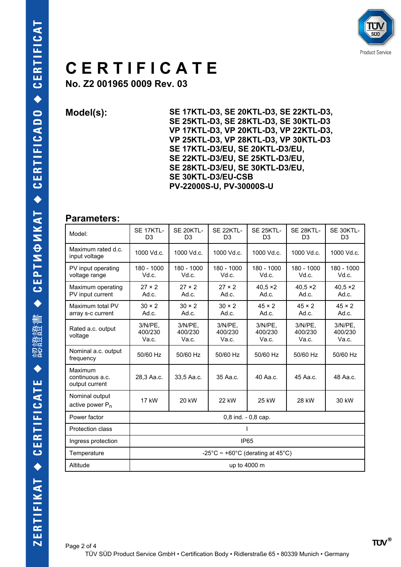

**No. Z2 001965 0009 Rev. 03**

**Model(s): SE 17KTL-D3, SE 20KTL-D3, SE 22KTL-D3, SE 25KTL-D3, SE 28KTL-D3, SE 30KTL-D3 VP 17KTL-D3, VP 20KTL-D3, VP 22KTL-D3, VP 25KTL-D3, VP 28KTL-D3, VP 30KTL-D3 SE 17KTL-D3/EU, SE 20KTL-D3/EU, SE 22KTL-D3/EU, SE 25KTL-D3/EU, SE 28KTL-D3/EU, SE 30KTL-D3/EU, SE 30KTL-D3/EU-CSB PV-22000S-U, PV-30000S-U**

#### **Parameters:**

| Model:                                       | <b>SE 17KTL-</b><br>D <sub>3</sub>    | SE 20KTL-<br>D <sub>3</sub>    | SE 22KTL-<br>D <sub>3</sub> | SE 25KTL-<br>D <sub>3</sub> | SE 28KTL-<br>D <sub>3</sub> | SE 30KTL-<br>D <sub>3</sub>    |
|----------------------------------------------|---------------------------------------|--------------------------------|-----------------------------|-----------------------------|-----------------------------|--------------------------------|
| Maximum rated d.c.<br>input voltage          | 1000 Vd.c.                            | 1000 Vd.c.                     | 1000 Vd.c.                  | 1000 Vd.c.                  | 1000 Vd.c.                  | 1000 Vd.c.                     |
| PV input operating<br>voltage range          | 180 - 1000<br>Vd.c.                   | 180 - 1000<br>Vd.c.            | 180 - 1000<br>Vd.c.         | 180 - 1000<br>Vd.c.         | 180 - 1000<br>Vd.c.         | 180 - 1000<br>Vd.c.            |
| Maximum operating<br>PV input current        | $27 \times 2$<br>Ad.c.                | $27 \times 2$<br>Ad.c.         | $27 \times 2$<br>Ad.c.      | $40.5 \times 2$<br>Ad.c.    | $40.5 \times 2$<br>Ad.c.    | $40.5 \times 2$<br>Ad.c.       |
| Maximum total PV<br>array s-c current        | $30 \times 2$<br>Ad.c.                | $30 \times 2$<br>Ad.c.         | $30 \times 2$<br>Ad.c.      | $45 \times 2$<br>Ad.c.      | $45 \times 2$<br>Ad.c.      | $45 \times 2$<br>Ad.c.         |
| Rated a.c. output<br>voltage                 | $3/N/PE$ .<br>400/230<br>Va.c.        | $3/N/PE$ .<br>400/230<br>Va.c. | 3/N/PE.<br>400/230<br>Va.c. | 3/N/PE.<br>400/230<br>Va.c. | 3/N/PE.<br>400/230<br>Va.c. | $3/N/PE$ ,<br>400/230<br>Va.c. |
| Nominal a.c. output<br>frequency             | 50/60 Hz                              | 50/60 Hz                       | 50/60 Hz                    | 50/60 Hz                    | 50/60 Hz                    | 50/60 Hz                       |
| Maximum<br>continuous a.c.<br>output current | 28,3 Aa.c.                            | 33,5 Aa.c.                     | 35 Aa.c.                    | 40 Aa.c.                    | 45 Aa.c.                    | 48 Aa.c.                       |
| Nominal output<br>active power $P_n$         | 17 kW                                 | 20 kW                          | 22 kW                       | 25 kW                       | 28 kW                       | 30 kW                          |
| Power factor                                 | 0,8 ind. - 0,8 cap.                   |                                |                             |                             |                             |                                |
| <b>Protection class</b>                      |                                       |                                |                             |                             |                             |                                |
| Ingress protection                           | <b>IP65</b>                           |                                |                             |                             |                             |                                |
| Temperature                                  | -25°C $\sim$ +60°C (derating at 45°C) |                                |                             |                             |                             |                                |
| Altitude                                     | up to 4000 m                          |                                |                             |                             |                             |                                |
|                                              |                                       |                                |                             |                             |                             |                                |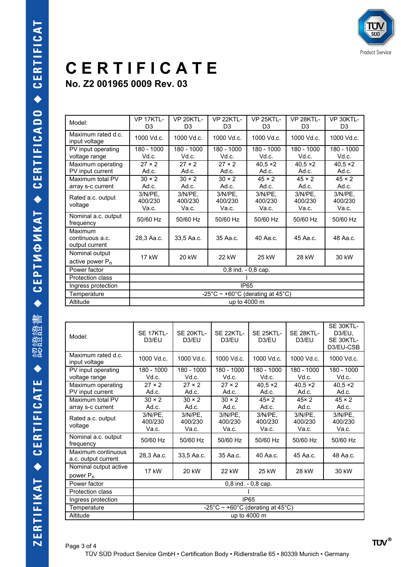**No. Z2 001965 0009 Rev. 03**

| Model:                                       | VP 17KTL-<br>D <sub>3</sub>                | VP 20KTL-<br>D <sub>3</sub> | <b>VP 22KTI -</b><br>D <sub>3</sub> | <b>VP 25KTL-</b><br>D <sub>3</sub> | <b>VP 28KTI -</b><br>D <sub>3</sub> | VP 30KTL-<br>D <sub>3</sub>    |
|----------------------------------------------|--------------------------------------------|-----------------------------|-------------------------------------|------------------------------------|-------------------------------------|--------------------------------|
| Maximum rated d.c.<br>input voltage          | 1000 Vd.c.                                 | 1000 Vd.c.                  | 1000 Vd.c.                          | 1000 Vd.c.                         | 1000 Vd.c.                          | 1000 Vd.c.                     |
| PV input operating<br>voltage range          | 180 - 1000<br>Vd.c.                        | 180 - 1000<br>Vd.c.         | 180 - 1000<br>Vd.c.                 | $180 - 1000$<br>Vd.c.              | $180 - 1000$<br>Vd.c.               | 180 - 1000<br>Vd.c.            |
| Maximum operating<br>PV input current        | $27 \times 2$<br>Ad.c.                     | $27 \times 2$<br>Ad.c.      | $27 \times 2$<br>Ad.c.              | $40,5 \times 2$<br>Ad.c.           | $40,5 \times 2$<br>Ad.c.            | $40,5 \times 2$<br>Ad.c.       |
| Maximum total PV<br>array s-c current        | $30 \times 2$<br>Ad.c.                     | $30 \times 2$<br>Ad.c.      | $30 \times 2$<br>Ad.c.              | $45 \times 2$<br>Ad.c.             | $45 \times 2$<br>Ad.c.              | $45 \times 2$<br>Ad.c.         |
| Rated a.c. output<br>voltage                 | $3/N/PE$ .<br>400/230<br>Va.c.             | 3/N/PE.<br>400/230<br>Va.c. | $3/N/PE$ ,<br>400/230<br>Va.c.      | $3/N/PE$ ,<br>400/230<br>Va.c.     | $3/N/PE$ .<br>400/230<br>Va.c.      | $3/N/PE$ .<br>400/230<br>Va.c. |
| Nominal a.c. output<br>frequency             | 50/60 Hz                                   | 50/60 Hz                    | 50/60 Hz                            | 50/60 Hz                           | 50/60 Hz                            | 50/60 Hz                       |
| Maximum<br>continuous a.c.<br>output current | 28,3 Aa.c.                                 | 33,5 Aa.c.                  | 35 Aa.c.                            | 40 Aa.c.                           | 45 Aa.c.                            | 48 Aa.c.                       |
| Nominal output<br>active power $P_n$         | 17 kW                                      | 20 kW                       | 22 kW                               | 25 kW                              | 28 kW                               | 30 kW                          |
| Power factor                                 | $0,8$ ind. $-0,8$ cap.                     |                             |                                     |                                    |                                     |                                |
| <b>Protection class</b>                      |                                            |                             |                                     |                                    |                                     |                                |
| Ingress protection                           | <b>IP65</b>                                |                             |                                     |                                    |                                     |                                |
| Temperature                                  | $-25^{\circ}$ C ~ +60°C (derating at 45°C) |                             |                                     |                                    |                                     |                                |
| Altitude                                     | up to 4000 m                               |                             |                                     |                                    |                                     |                                |

| Model:                                        | SE 17KTL-<br>D3/EU                         | SE 20KTL-<br>D3/EU             | SE 22KTL-<br>D3/EU             | SE 25KTL-<br>D3/EU             | SE 28KTL-<br>D3/EU             | SE 30KTL-<br>D3/EU.<br>SE 30KTL-<br>D3/EU-CSB |
|-----------------------------------------------|--------------------------------------------|--------------------------------|--------------------------------|--------------------------------|--------------------------------|-----------------------------------------------|
| Maximum rated d.c.<br>input voltage           | 1000 Vd.c.                                 | 1000 Vd.c.                     | 1000 Vd.c.                     | 1000 Vd.c.                     | 1000 Vd.c.                     | 1000 Vd.c.                                    |
| PV input operating<br>voltage range           | 180 - 1000<br>Vd.c.                        | 180 - 1000<br>Vd.c.            | $180 - 1000$<br>Vd.c.          | 180 - 1000<br>Vd.c.            | $180 - 1000$<br>Vd.c.          | 180 - 1000<br>Vd.c.                           |
| Maximum operating<br>PV input current         | $27 \times 2$<br>Ad.c.                     | $27 \times 2$<br>Ad.c.         | $27 \times 2$<br>Ad.c.         | $40.5 \times 2$<br>Ad.c.       | $40.5 \times 2$<br>Ad.c.       | $40.5 \times 2$<br>Ad.c.                      |
| Maximum total PV<br>array s-c current         | $30 \times 2$<br>Ad.c.                     | $30 \times 2$<br>Ad.c.         | $30 \times 2$<br>Ad.c.         | $45 \times 2$<br>Ad.c.         | $45 \times 2$<br>Ad.c.         | $45 \times 2$<br>Ad.c.                        |
| Rated a.c. output<br>voltage                  | $3/N/PE$ ,<br>400/230<br>Va.c.             | $3/N/PE$ ,<br>400/230<br>Va.c. | $3/N/PE$ .<br>400/230<br>Va.c. | $3/N/PE$ ,<br>400/230<br>Va.c. | $3/N/PE$ ,<br>400/230<br>Va.c. | $3/N/PE$ ,<br>400/230<br>Va.c.                |
| Nominal a.c. output<br>frequency              | 50/60 Hz                                   | 50/60 Hz                       | 50/60 Hz                       | 50/60 Hz                       | 50/60 Hz                       | 50/60 Hz                                      |
| Maximum continuous<br>a.c. output current     | 28,3 Aa.c.                                 | 33,5 Aa.c.                     | 35 Aa.c.                       | 40 Aa.c.                       | 45 Aa.c.                       | 48 Aa.c.                                      |
| Nominal output active<br>power P <sub>n</sub> | 17 kW                                      | 20 kW                          | 22 kW                          | 25 kW                          | 28 kW                          | 30 kW                                         |
| Power factor                                  | $0,8$ ind. $-0,8$ cap.                     |                                |                                |                                |                                |                                               |
| Protection class                              |                                            |                                |                                |                                |                                |                                               |
| Ingress protection                            | <b>IP65</b>                                |                                |                                |                                |                                |                                               |
| Temperature                                   | $-25^{\circ}$ C ~ +60°C (derating at 45°C) |                                |                                |                                |                                |                                               |
| Altitude                                      | up to 4000 m                               |                                |                                |                                |                                |                                               |